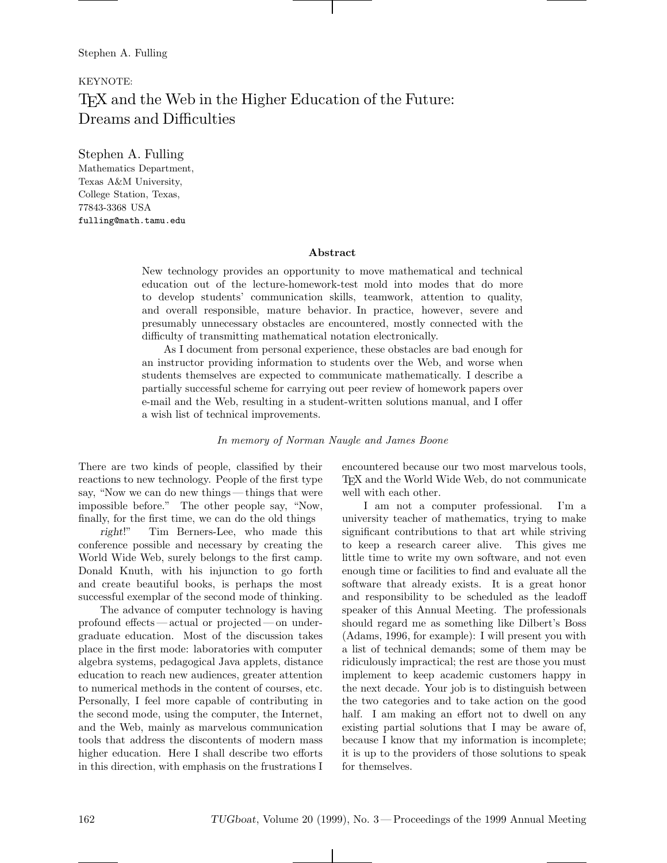# KEYNOTE: TEX and the Web in the Higher Education of the Future: Dreams and Difficulties

Stephen A. Fulling Mathematics Department, Texas A&M University, College Station, Texas, 77843-3368 USA fulling@math.tamu.edu

#### **Abstract**

New technology provides an opportunity to move mathematical and technical education out of the lecture-homework-test mold into modes that do more to develop students' communication skills, teamwork, attention to quality, and overall responsible, mature behavior. In practice, however, severe and presumably unnecessary obstacles are encountered, mostly connected with the difficulty of transmitting mathematical notation electronically.

As I document from personal experience, these obstacles are bad enough for an instructor providing information to students over the Web, and worse when students themselves are expected to communicate mathematically. I describe a partially successful scheme for carrying out peer review of homework papers over e-mail and the Web, resulting in a student-written solutions manual, and I offer a wish list of technical improvements.

*In memory of Norman Naugle and James Boone*

There are two kinds of people, classified by their reactions to new technology. People of the first type say, "Now we can do new things — things that were impossible before." The other people say, "Now, finally, for the first time, we can do the old things

*right*!" Tim Berners-Lee, who made this conference possible and necessary by creating the World Wide Web, surely belongs to the first camp. Donald Knuth, with his injunction to go forth and create beautiful books, is perhaps the most successful exemplar of the second mode of thinking.

The advance of computer technology is having profound effects — actual or projected— on undergraduate education. Most of the discussion takes place in the first mode: laboratories with computer algebra systems, pedagogical Java applets, distance education to reach new audiences, greater attention to numerical methods in the content of courses, etc. Personally, I feel more capable of contributing in the second mode, using the computer, the Internet, and the Web, mainly as marvelous communication tools that address the discontents of modern mass higher education. Here I shall describe two efforts in this direction, with emphasis on the frustrations I

encountered because our two most marvelous tools, TEX and the World Wide Web, do not communicate well with each other.

I am not a computer professional. I'm a university teacher of mathematics, trying to make significant contributions to that art while striving to keep a research career alive. This gives me little time to write my own software, and not even enough time or facilities to find and evaluate all the software that already exists. It is a great honor and responsibility to be scheduled as the leadoff speaker of this Annual Meeting. The professionals should regard me as something like Dilbert's Boss (Adams, 1996, for example): I will present you with a list of technical demands; some of them may be ridiculously impractical; the rest are those you must implement to keep academic customers happy in the next decade. Your job is to distinguish between the two categories and to take action on the good half. I am making an effort not to dwell on any existing partial solutions that I may be aware of, because I know that my information is incomplete; it is up to the providers of those solutions to speak for themselves.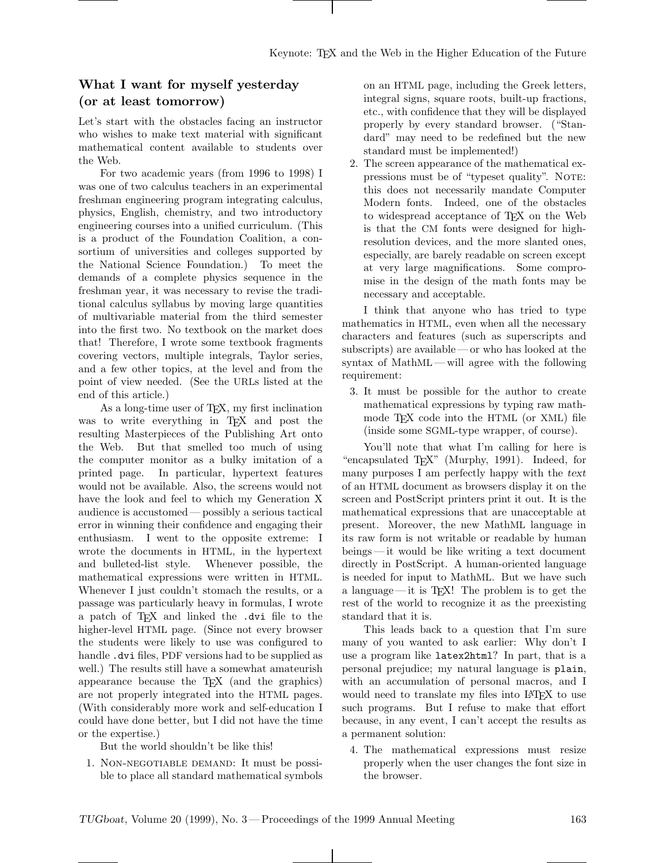## **What I want for myself yesterday (or at least tomorrow)**

Let's start with the obstacles facing an instructor who wishes to make text material with significant mathematical content available to students over the Web.

For two academic years (from 1996 to 1998) I was one of two calculus teachers in an experimental freshman engineering program integrating calculus, physics, English, chemistry, and two introductory engineering courses into a unified curriculum. (This is a product of the Foundation Coalition, a consortium of universities and colleges supported by the National Science Foundation.) To meet the demands of a complete physics sequence in the freshman year, it was necessary to revise the traditional calculus syllabus by moving large quantities of multivariable material from the third semester into the first two. No textbook on the market does that! Therefore, I wrote some textbook fragments covering vectors, multiple integrals, Taylor series, and a few other topics, at the level and from the point of view needed. (See the URLs listed at the end of this article.)

As a long-time user of T<sub>E</sub>X, my first inclination was to write everything in T<sub>EX</sub> and post the resulting Masterpieces of the Publishing Art onto the Web. But that smelled too much of using the computer monitor as a bulky imitation of a printed page. In particular, hypertext features would not be available. Also, the screens would not have the look and feel to which my Generation X audience is accustomed— possibly a serious tactical error in winning their confidence and engaging their enthusiasm. I went to the opposite extreme: I wrote the documents in HTML, in the hypertext and bulleted-list style. Whenever possible, the mathematical expressions were written in HTML. Whenever I just couldn't stomach the results, or a passage was particularly heavy in formulas, I wrote a patch of TEX and linked the .dvi file to the higher-level HTML page. (Since not every browser the students were likely to use was configured to handle .dvi files, PDF versions had to be supplied as well.) The results still have a somewhat amateurish appearance because the TEX (and the graphics) are not properly integrated into the HTML pages. (With considerably more work and self-education I could have done better, but I did not have the time or the expertise.)

But the world shouldn't be like this!

1. Non-negotiable demand: It must be possible to place all standard mathematical symbols on an HTML page, including the Greek letters, integral signs, square roots, built-up fractions, etc., with confidence that they will be displayed properly by every standard browser. ("Standard" may need to be redefined but the new standard must be implemented!)

2. The screen appearance of the mathematical expressions must be of "typeset quality". NOTE: this does not necessarily mandate Computer Modern fonts. Indeed, one of the obstacles to widespread acceptance of TEX on the Web is that the CM fonts were designed for highresolution devices, and the more slanted ones, especially, are barely readable on screen except at very large magnifications. Some compromise in the design of the math fonts may be necessary and acceptable.

I think that anyone who has tried to type mathematics in HTML, even when all the necessary characters and features (such as superscripts and subscripts) are available— or who has looked at the syntax of MathML — will agree with the following requirement:

3. It must be possible for the author to create mathematical expressions by typing raw mathmode TEX code into the HTML (or XML) file (inside some SGML-type wrapper, of course).

You'll note that what I'm calling for here is "encapsulated TEX" (Murphy, 1991). Indeed, for many purposes I am perfectly happy with the *text* of an HTML document as browsers display it on the screen and PostScript printers print it out. It is the mathematical expressions that are unacceptable at present. Moreover, the new MathML language in its raw form is not writable or readable by human beings — it would be like writing a text document directly in PostScript. A human-oriented language is needed for input to MathML. But we have such a language— it is TEX! The problem is to get the rest of the world to recognize it as the preexisting standard that it is.

This leads back to a question that I'm sure many of you wanted to ask earlier: Why don't I use a program like latex2html? In part, that is a personal prejudice; my natural language is plain, with an accumulation of personal macros, and I would need to translate my files into LAT<sub>EX</sub> to use such programs. But I refuse to make that effort because, in any event, I can't accept the results as a permanent solution:

4. The mathematical expressions must resize properly when the user changes the font size in the browser.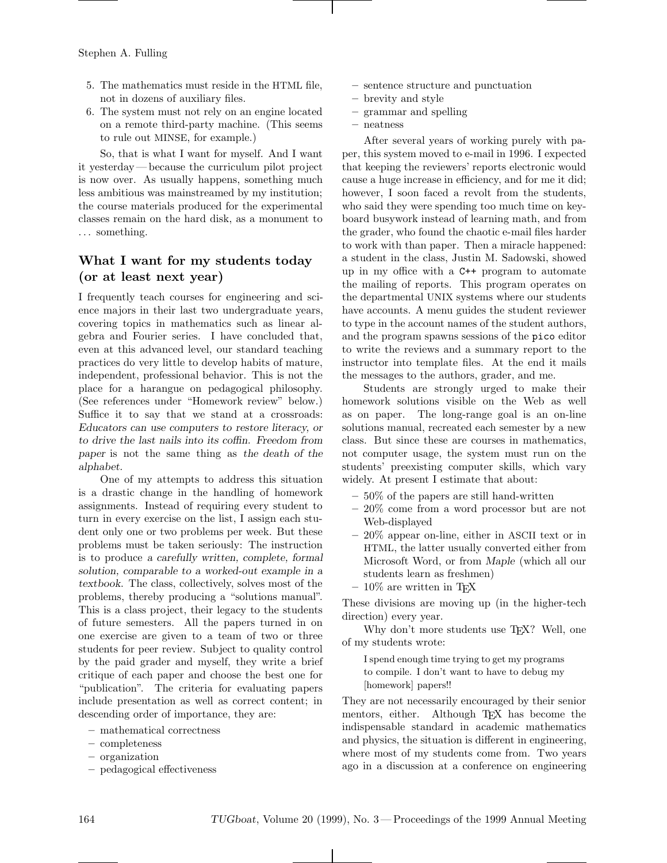- 5. The mathematics must reside in the HTML file, not in dozens of auxiliary files.
- 6. The system must not rely on an engine located on a remote third-party machine. (This seems to rule out MINSE, for example.)

So, that is what I want for myself. And I want it yesterday— because the curriculum pilot project is now over. As usually happens, something much less ambitious was mainstreamed by my institution; the course materials produced for the experimental classes remain on the hard disk, as a monument to ... something.

## **What I want for my students today (or at least next year)**

I frequently teach courses for engineering and science majors in their last two undergraduate years, covering topics in mathematics such as linear algebra and Fourier series. I have concluded that, even at this advanced level, our standard teaching practices do very little to develop habits of mature, independent, professional behavior. This is not the place for a harangue on pedagogical philosophy. (See references under "Homework review" below.) Suffice it to say that we stand at a crossroads: *Educators can use computers to restore literacy, or to drive the last nails into its coffin. Freedom from paper* is not the same thing as *the death of the alphabet.*

One of my attempts to address this situation is a drastic change in the handling of homework assignments. Instead of requiring every student to turn in every exercise on the list, I assign each student only one or two problems per week. But these problems must be taken seriously: The instruction is to produce *a carefully written, complete, formal solution, comparable to a worked-out example in a textbook*. The class, collectively, solves most of the problems, thereby producing a "solutions manual". This is a class project, their legacy to the students of future semesters. All the papers turned in on one exercise are given to a team of two or three students for peer review. Subject to quality control by the paid grader and myself, they write a brief critique of each paper and choose the best one for "publication". The criteria for evaluating papers include presentation as well as correct content; in descending order of importance, they are:

- **–** mathematical correctness
- **–** completeness
- **–** organization
- **–** pedagogical effectiveness
- **–** sentence structure and punctuation
- **–** brevity and style
- **–** grammar and spelling
- **–** neatness

After several years of working purely with paper, this system moved to e-mail in 1996. I expected that keeping the reviewers' reports electronic would cause a huge increase in efficiency, and for me it did; however, I soon faced a revolt from the students, who said they were spending too much time on keyboard busywork instead of learning math, and from the grader, who found the chaotic e-mail files harder to work with than paper. Then a miracle happened: a student in the class, Justin M. Sadowski, showed up in my office with a C++ program to automate the mailing of reports. This program operates on the departmental UNIX systems where our students have accounts. A menu guides the student reviewer to type in the account names of the student authors, and the program spawns sessions of the pico editor to write the reviews and a summary report to the instructor into template files. At the end it mails the messages to the authors, grader, and me.

Students are strongly urged to make their homework solutions visible on the Web as well as on paper. The long-range goal is an on-line solutions manual, recreated each semester by a new class. But since these are courses in mathematics, not computer usage, the system must run on the students' preexisting computer skills, which vary widely. At present I estimate that about:

- **–** 50% of the papers are still hand-written
- **–** 20% come from a word processor but are not Web-displayed
- **–** 20% appear on-line, either in ASCII text or in HTML, the latter usually converted either from Microsoft Word, or from *Maple* (which all our students learn as freshmen)
- **–** 10% are written in TEX

These divisions are moving up (in the higher-tech direction) every year.

Why don't more students use T<sub>E</sub>X? Well, one of my students wrote:

I spend enough time trying to get my programs to compile. I don't want to have to debug my [homework] papers!!

They are not necessarily encouraged by their senior mentors, either. Although TEX has become the indispensable standard in academic mathematics and physics, the situation is different in engineering, where most of my students come from. Two years ago in a discussion at a conference on engineering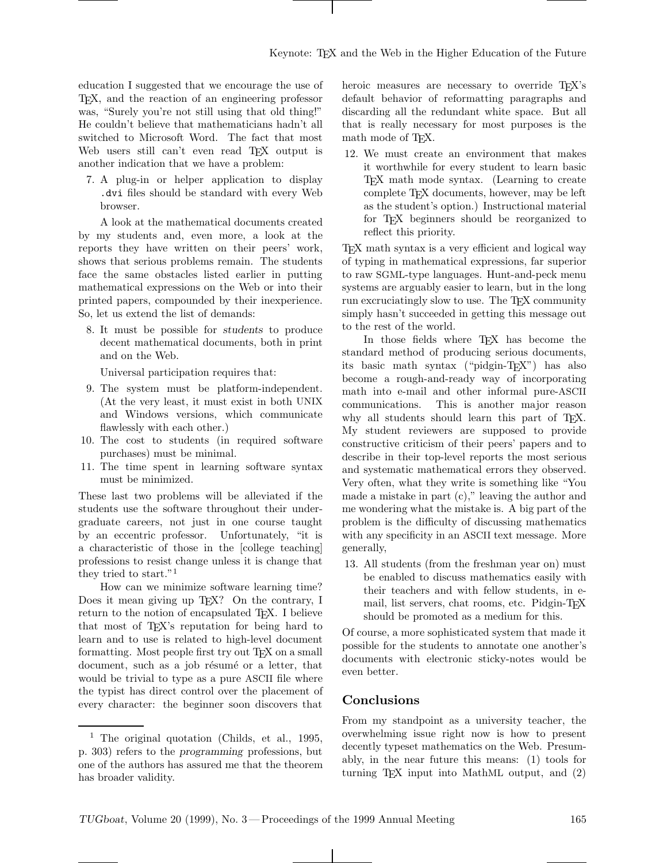education I suggested that we encourage the use of TEX, and the reaction of an engineering professor was, "Surely you're not still using that old thing!" He couldn't believe that mathematicians hadn't all switched to Microsoft Word. The fact that most Web users still can't even read T<sub>EX</sub> output is another indication that we have a problem:

7. A plug-in or helper application to display .dvi files should be standard with every Web browser.

A look at the mathematical documents created by my students and, even more, a look at the reports they have written on their peers' work, shows that serious problems remain. The students face the same obstacles listed earlier in putting mathematical expressions on the Web or into their printed papers, compounded by their inexperience. So, let us extend the list of demands:

8. It must be possible for *students* to produce decent mathematical documents, both in print and on the Web.

Universal participation requires that:

- 9. The system must be platform-independent. (At the very least, it must exist in both UNIX and Windows versions, which communicate flawlessly with each other.)
- 10. The cost to students (in required software purchases) must be minimal.
- 11. The time spent in learning software syntax must be minimized.

These last two problems will be alleviated if the students use the software throughout their undergraduate careers, not just in one course taught by an eccentric professor. Unfortunately, "it is a characteristic of those in the [college teaching] professions to resist change unless it is change that they tried to start."<sup>1</sup>

How can we minimize software learning time? Does it mean giving up T<sub>E</sub>X? On the contrary, I return to the notion of encapsulated T<sub>EX</sub>. I believe that most of TEX's reputation for being hard to learn and to use is related to high-level document formatting. Most people first try out T<sub>EX</sub> on a small document, such as a job résumé or a letter, that would be trivial to type as a pure ASCII file where the typist has direct control over the placement of every character: the beginner soon discovers that

heroic measures are necessary to override T<sub>EX</sub>'s default behavior of reformatting paragraphs and discarding all the redundant white space. But all that is really necessary for most purposes is the math mode of T<sub>F</sub>X.

12. We must create an environment that makes it worthwhile for every student to learn basic TEX math mode syntax. (Learning to create complete TEX documents, however, may be left as the student's option.) Instructional material for T<sub>EX</sub> beginners should be reorganized to reflect this priority.

TEX math syntax is a very efficient and logical way of typing in mathematical expressions, far superior to raw SGML-type languages. Hunt-and-peck menu systems are arguably easier to learn, but in the long run excruciatingly slow to use. The T<sub>E</sub>X community simply hasn't succeeded in getting this message out to the rest of the world.

In those fields where TEX has become the standard method of producing serious documents, its basic math syntax ("pidgin-TEX") has also become a rough-and-ready way of incorporating math into e-mail and other informal pure-ASCII communications. This is another major reason why all students should learn this part of T<sub>EX</sub>. My student reviewers are supposed to provide constructive criticism of their peers' papers and to describe in their top-level reports the most serious and systematic mathematical errors they observed. Very often, what they write is something like "You made a mistake in part (c)," leaving the author and me wondering what the mistake is. A big part of the problem is the difficulty of discussing mathematics with any specificity in an ASCII text message. More generally,

13. All students (from the freshman year on) must be enabled to discuss mathematics easily with their teachers and with fellow students, in email, list servers, chat rooms, etc. Pidgin-T<sub>E</sub>X should be promoted as a medium for this.

Of course, a more sophisticated system that made it possible for the students to annotate one another's documents with electronic sticky-notes would be even better.

### **Conclusions**

From my standpoint as a university teacher, the overwhelming issue right now is how to present decently typeset mathematics on the Web. Presumably, in the near future this means: (1) tools for turning TEX input into MathML output, and (2)

<sup>&</sup>lt;sup>1</sup> The original quotation (Childs, et al., 1995, p. 303) refers to the *programming* professions, but one of the authors has assured me that the theorem has broader validity.